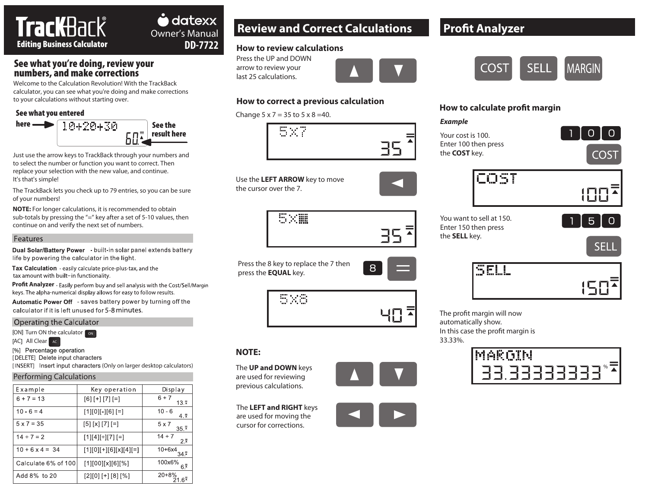# TracKBack<sup>®</sup> Editing Business Calculator

## See what you're doing, review your numbers, and make corrections

Welcome to the Calculation Revolution! With the TrackBack calculator, you can see what you're doing and make corrections to your calculations without starting over.

### See what you entered



Just use the arrow keys to TrackBack through your numbers and to select the number or function you want to correct. Then replace your selection with the new value, and continue. It's that's simple!

The TrackBack lets you check up to 79 entries, so you can be sure of your numbers!

**NOTE:** For longer calculations, it is recommended to obtain sub-totals by pressing the  $4/2$ " key after a set of 5-10 values, then continue on and verify the next set of numbers.

### Features

Dual Solar/Battery Power - built-in solar panel extends battery life by powering the calculator in the light.

Tax Calculation - easily calculate price-plus-tax, and the tax amount with built-in functionality.

**Profit Analyzer** - Easily perform buy and sell analysis with the Cost/Sell/Margin keys. The alpha-numerical display allows for easy to follow results.

Automatic Power Off - saves battery power by turning off the calculator if it is left unused for 5-8 minutes.

#### Operating the Calculator

[ON] Turn ON the calculator **ON** 

AC<sub>1</sub> All Clear <sub>AC</sub>

[%] Percentage operation

[DELETE] Delete input characters

[INSERT] Insert input characters (Only on larger desktop calculators)

### Performing Calculations

| Example                | Key operation           | Display                            |
|------------------------|-------------------------|------------------------------------|
| $6 + 7 = 13$           | $[6]$ [+] [7] [=]       | $6 + 7$<br>$13.\bar{z}$            |
| $10 - 6 = 4$           | [1][0][-][6] [=]        | $10 - 6$<br>4.7                    |
| $5 \times 7 = 35$      | $[5] [x] [7] [-]$       | $5 \times 7$<br>$35^{\frac{1}{2}}$ |
| $14 \div 7 = 2$        | $[1][4][\div][7][7]$    | $14 \div 7$<br>クミ                  |
| $10 + 6 \times 4 = 34$ | $[1][0][+][6][x][4][=]$ | $10 + 6x4$                         |
| Calculate 6% of 100    | [1][00][x][6][%]        | 100x6%<br>ຣ≅                       |
| Add 8% to 20           | $[2][0][+] [8][%]$      | $20 + 8%$<br>$6^{\frac{3}{4}}$     |

# Owner's Manual **Review and Correct Calculations**

### **How to review calculations**

Press the UP and DOWN arrow to review your last 25 calculations.

**DD-7722**



### **How to correct a previous calculation**

Change  $5 \times 7 = 35$  to  $5 \times 8 = 40$ .

5×7 35

Use the **LEFT ARROW** key to move the cursor over the 7.



Press the 8 key to replace the 7 then press the **EQUAL** key.



# **NOTE:**

The **UP and DOWN** keys are used for reviewing previous calculations.

The **LEFT and RIGHT** keys are used for moving the cursor for corrections.



8

# **Profit Analyzer**



### **How to calculate profit margin**